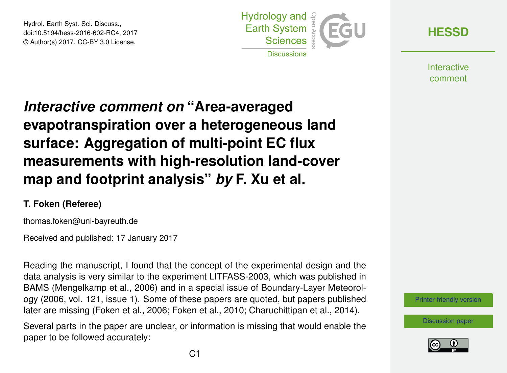Hydrol. Earth Syst. Sci. Discuss., doi:10.5194/hess-2016-602-RC4, 2017 © Author(s) 2017. CC-BY 3.0 License.



**[HESSD](http://www.hydrol-earth-syst-sci-discuss.net/)**

**Interactive** comment

# *Interactive comment on* **"Area-averaged evapotranspiration over a heterogeneous land surface: Aggregation of multi-point EC flux measurements with high-resolution land-cover map and footprint analysis"** *by* **F. Xu et al.**

#### **T. Foken (Referee)**

thomas.foken@uni-bayreuth.de

Received and published: 17 January 2017

Reading the manuscript, I found that the concept of the experimental design and the data analysis is very similar to the experiment LITFASS-2003, which was published in BAMS (Mengelkamp et al., 2006) and in a special issue of Boundary-Layer Meteorology (2006, vol. 121, issue 1). Some of these papers are quoted, but papers published later are missing (Foken et al., 2006; Foken et al., 2010; Charuchittipan et al., 2014).

Several parts in the paper are unclear, or information is missing that would enable the paper to be followed accurately:

[Printer-friendly version](http://www.hydrol-earth-syst-sci-discuss.net/hess-2016-602/hess-2016-602-RC4-print.pdf)

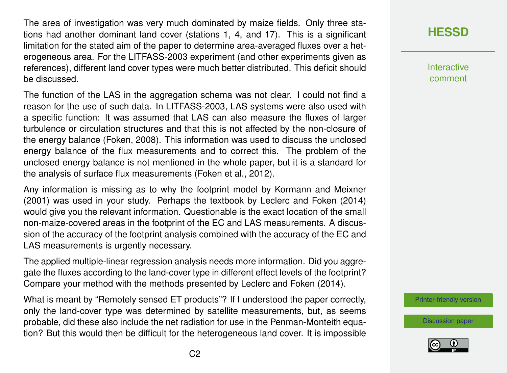The area of investigation was very much dominated by maize fields. Only three stations had another dominant land cover (stations 1, 4, and 17). This is a significant limitation for the stated aim of the paper to determine area-averaged fluxes over a heterogeneous area. For the LITFASS-2003 experiment (and other experiments given as references), different land cover types were much better distributed. This deficit should be discussed.

The function of the LAS in the aggregation schema was not clear. I could not find a reason for the use of such data. In LITFASS-2003, LAS systems were also used with a specific function: It was assumed that LAS can also measure the fluxes of larger turbulence or circulation structures and that this is not affected by the non-closure of the energy balance (Foken, 2008). This information was used to discuss the unclosed energy balance of the flux measurements and to correct this. The problem of the unclosed energy balance is not mentioned in the whole paper, but it is a standard for the analysis of surface flux measurements (Foken et al., 2012).

Any information is missing as to why the footprint model by Kormann and Meixner (2001) was used in your study. Perhaps the textbook by Leclerc and Foken (2014) would give you the relevant information. Questionable is the exact location of the small non-maize-covered areas in the footprint of the EC and LAS measurements. A discussion of the accuracy of the footprint analysis combined with the accuracy of the EC and LAS measurements is urgently necessary.

The applied multiple-linear regression analysis needs more information. Did you aggregate the fluxes according to the land-cover type in different effect levels of the footprint? Compare your method with the methods presented by Leclerc and Foken (2014).

What is meant by "Remotely sensed ET products"? If I understood the paper correctly, only the land-cover type was determined by satellite measurements, but, as seems probable, did these also include the net radiation for use in the Penman-Monteith equation? But this would then be difficult for the heterogeneous land cover. It is impossible

### **[HESSD](http://www.hydrol-earth-syst-sci-discuss.net/)**

**Interactive** comment

[Printer-friendly version](http://www.hydrol-earth-syst-sci-discuss.net/hess-2016-602/hess-2016-602-RC4-print.pdf)

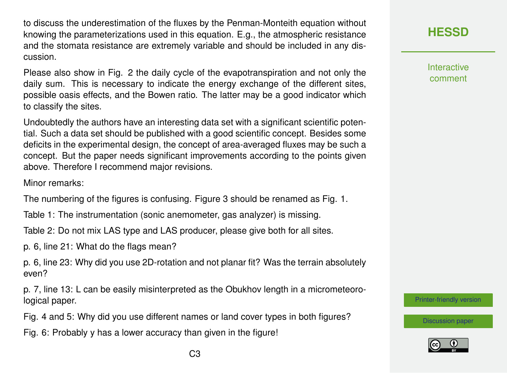to discuss the underestimation of the fluxes by the Penman-Monteith equation without knowing the parameterizations used in this equation. E.g., the atmospheric resistance and the stomata resistance are extremely variable and should be included in any discussion.

Please also show in Fig. 2 the daily cycle of the evapotranspiration and not only the daily sum. This is necessary to indicate the energy exchange of the different sites. possible oasis effects, and the Bowen ratio. The latter may be a good indicator which to classify the sites.

Undoubtedly the authors have an interesting data set with a significant scientific potential. Such a data set should be published with a good scientific concept. Besides some deficits in the experimental design, the concept of area-averaged fluxes may be such a concept. But the paper needs significant improvements according to the points given above. Therefore I recommend major revisions.

Minor remarks:

The numbering of the figures is confusing. Figure 3 should be renamed as Fig. 1.

Table 1: The instrumentation (sonic anemometer, gas analyzer) is missing.

Table 2: Do not mix LAS type and LAS producer, please give both for all sites.

p. 6, line 21: What do the flags mean?

p. 6, line 23: Why did you use 2D-rotation and not planar fit? Was the terrain absolutely even?

p. 7, line 13: L can be easily misinterpreted as the Obukhov length in a micrometeorological paper.

Fig. 4 and 5: Why did you use different names or land cover types in both figures?

Fig. 6: Probably y has a lower accuracy than given in the figure!

**[HESSD](http://www.hydrol-earth-syst-sci-discuss.net/)**

**Interactive** comment

[Printer-friendly version](http://www.hydrol-earth-syst-sci-discuss.net/hess-2016-602/hess-2016-602-RC4-print.pdf)

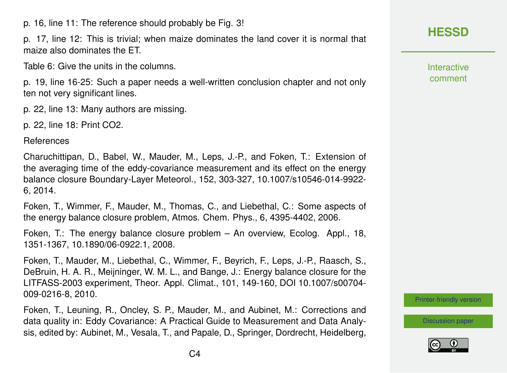p. 16, line 11: The reference should probably be Fig. 3!

p. 17, line 12: This is trivial; when maize dominates the land cover it is normal that maize also dominates the ET.

Table 6: Give the units in the columns.

p. 19, line 16-25: Such a paper needs a well-written conclusion chapter and not only ten not very significant lines.

- p. 22, line 13: Many authors are missing.
- p. 22, line 18: Print CO2.

References

Charuchittipan, D., Babel, W., Mauder, M., Leps, J.-P., and Foken, T.: Extension of the averaging time of the eddy-covariance measurement and its effect on the energy balance closure Boundary-Layer Meteorol., 152, 303-327, 10.1007/s10546-014-9922- 6, 2014.

Foken, T., Wimmer, F., Mauder, M., Thomas, C., and Liebethal, C.: Some aspects of the energy balance closure problem, Atmos. Chem. Phys., 6, 4395-4402, 2006.

Foken, T.: The energy balance closure problem – An overview, Ecolog. Appl., 18, 1351-1367, 10.1890/06-0922.1, 2008.

Foken, T., Mauder, M., Liebethal, C., Wimmer, F., Beyrich, F., Leps, J.-P., Raasch, S., DeBruin, H. A. R., Meijninger, W. M. L., and Bange, J.: Energy balance closure for the LITFASS-2003 experiment, Theor. Appl. Climat., 101, 149-160, DOI 10.1007/s00704- 009-0216-8, 2010.

Foken, T., Leuning, R., Oncley, S. P., Mauder, M., and Aubinet, M.: Corrections and data quality in: Eddy Covariance: A Practical Guide to Measurement and Data Analysis, edited by: Aubinet, M., Vesala, T., and Papale, D., Springer, Dordrecht, Heidelberg,

## **[HESSD](http://www.hydrol-earth-syst-sci-discuss.net/)**

**Interactive** comment

[Printer-friendly version](http://www.hydrol-earth-syst-sci-discuss.net/hess-2016-602/hess-2016-602-RC4-print.pdf)